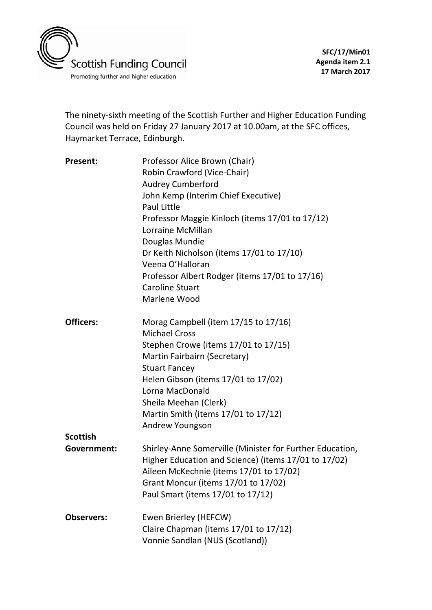

The ninety-sixth meeting of the Scottish Further and Higher Education Funding Council was held on Friday 27 January 2017 at 10.00am, at the SFC offices, Haymarket Terrace, Edinburgh.

| <b>Present:</b>   | Professor Alice Brown (Chair)                                        |
|-------------------|----------------------------------------------------------------------|
|                   | Robin Crawford (Vice-Chair)                                          |
|                   | <b>Audrey Cumberford</b>                                             |
|                   | John Kemp (Interim Chief Executive)                                  |
|                   | Paul Little                                                          |
|                   | Professor Maggie Kinloch (items 17/01 to 17/12)<br>Lorraine McMillan |
|                   | Douglas Mundie                                                       |
|                   | Dr Keith Nicholson (items 17/01 to 17/10)                            |
|                   | Veena O'Halloran                                                     |
|                   | Professor Albert Rodger (items 17/01 to 17/16)                       |
|                   | <b>Caroline Stuart</b>                                               |
|                   | Marlene Wood                                                         |
| <b>Officers:</b>  | Morag Campbell (item 17/15 to 17/16)                                 |
|                   | <b>Michael Cross</b>                                                 |
|                   | Stephen Crowe (items 17/01 to 17/15)                                 |
|                   | Martin Fairbairn (Secretary)                                         |
|                   | <b>Stuart Fancey</b>                                                 |
|                   | Helen Gibson (items 17/01 to 17/02)                                  |
|                   | Lorna MacDonald                                                      |
|                   | Sheila Meehan (Clerk)                                                |
|                   | Martin Smith (items 17/01 to 17/12)                                  |
|                   | Andrew Youngson                                                      |
| <b>Scottish</b>   |                                                                      |
| Government:       | Shirley-Anne Somerville (Minister for Further Education,             |
|                   | Higher Education and Science) (items 17/01 to 17/02)                 |
|                   | Aileen McKechnie (items 17/01 to 17/02)                              |
|                   | Grant Moncur (items 17/01 to 17/02)                                  |
|                   | Paul Smart (items 17/01 to 17/12)                                    |
| <b>Observers:</b> | Ewen Brierley (HEFCW)                                                |
|                   | Claire Chapman (items 17/01 to 17/12)                                |
|                   | Vonnie Sandlan (NUS (Scotland))                                      |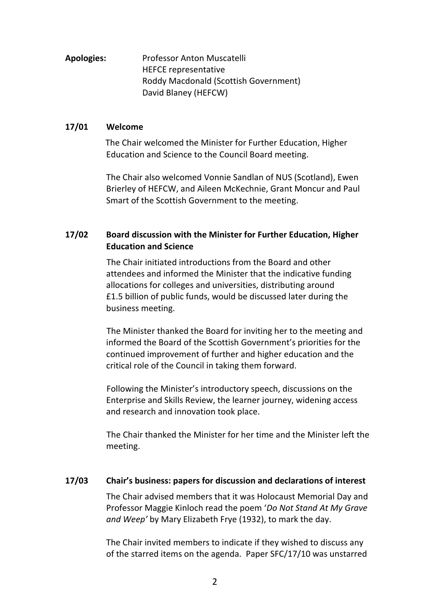**Apologies:** Professor Anton Muscatelli HEFCE representative Roddy Macdonald (Scottish Government) David Blaney (HEFCW)

### **17/01 Welcome**

 The Chair welcomed the Minister for Further Education, Higher Education and Science to the Council Board meeting.

The Chair also welcomed Vonnie Sandlan of NUS (Scotland), Ewen Brierley of HEFCW, and Aileen McKechnie, Grant Moncur and Paul Smart of the Scottish Government to the meeting.

## **17/02 Board discussion with the Minister for Further Education, Higher Education and Science**

The Chair initiated introductions from the Board and other attendees and informed the Minister that the indicative funding allocations for colleges and universities, distributing around £1.5 billion of public funds, would be discussed later during the business meeting.

The Minister thanked the Board for inviting her to the meeting and informed the Board of the Scottish Government's priorities for the continued improvement of further and higher education and the critical role of the Council in taking them forward.

Following the Minister's introductory speech, discussions on the Enterprise and Skills Review, the learner journey, widening access and research and innovation took place.

The Chair thanked the Minister for her time and the Minister left the meeting.

### **17/03 Chair's business: papers for discussion and declarations of interest**

The Chair advised members that it was Holocaust Memorial Day and Professor Maggie Kinloch read the poem '*Do Not Stand At My Grave and Weep'* by Mary Elizabeth Frye (1932), to mark the day.

The Chair invited members to indicate if they wished to discuss any of the starred items on the agenda. Paper SFC/17/10 was unstarred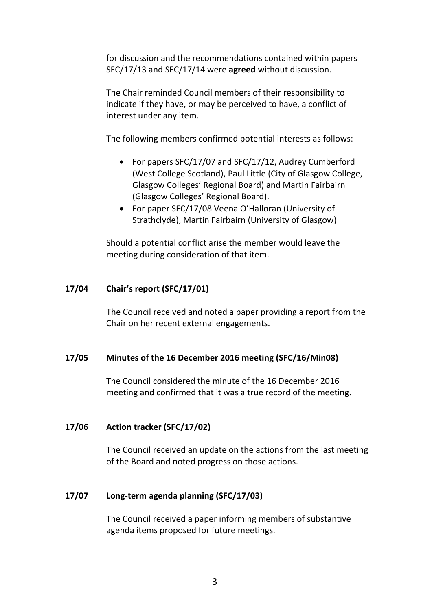for discussion and the recommendations contained within papers SFC/17/13 and SFC/17/14 were **agreed** without discussion.

The Chair reminded Council members of their responsibility to indicate if they have, or may be perceived to have, a conflict of interest under any item.

The following members confirmed potential interests as follows:

- For papers SFC/17/07 and SFC/17/12, Audrey Cumberford (West College Scotland), Paul Little (City of Glasgow College, Glasgow Colleges' Regional Board) and Martin Fairbairn (Glasgow Colleges' Regional Board).
- For paper SFC/17/08 Veena O'Halloran (University of Strathclyde), Martin Fairbairn (University of Glasgow)

Should a potential conflict arise the member would leave the meeting during consideration of that item.

## **17/04 Chair's report (SFC/17/01)**

The Council received and noted a paper providing a report from the Chair on her recent external engagements.

### **17/05 Minutes of the 16 December 2016 meeting (SFC/16/Min08)**

The Council considered the minute of the 16 December 2016 meeting and confirmed that it was a true record of the meeting.

### **17/06 Action tracker (SFC/17/02)**

The Council received an update on the actions from the last meeting of the Board and noted progress on those actions.

### **17/07 Long-term agenda planning (SFC/17/03)**

The Council received a paper informing members of substantive agenda items proposed for future meetings.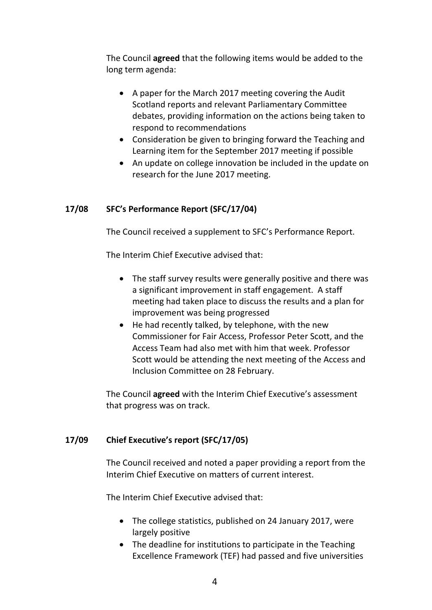The Council **agreed** that the following items would be added to the long term agenda:

- A paper for the March 2017 meeting covering the Audit Scotland reports and relevant Parliamentary Committee debates, providing information on the actions being taken to respond to recommendations
- Consideration be given to bringing forward the Teaching and Learning item for the September 2017 meeting if possible
- An update on college innovation be included in the update on research for the June 2017 meeting.

## **17/08 SFC's Performance Report (SFC/17/04)**

The Council received a supplement to SFC's Performance Report.

The Interim Chief Executive advised that:

- The staff survey results were generally positive and there was a significant improvement in staff engagement. A staff meeting had taken place to discuss the results and a plan for improvement was being progressed
- He had recently talked, by telephone, with the new Commissioner for Fair Access, Professor Peter Scott, and the Access Team had also met with him that week. Professor Scott would be attending the next meeting of the Access and Inclusion Committee on 28 February.

The Council **agreed** with the Interim Chief Executive's assessment that progress was on track.

### **17/09 Chief Executive's report (SFC/17/05)**

The Council received and noted a paper providing a report from the Interim Chief Executive on matters of current interest.

The Interim Chief Executive advised that:

- The college statistics, published on 24 January 2017, were largely positive
- The deadline for institutions to participate in the Teaching Excellence Framework (TEF) had passed and five universities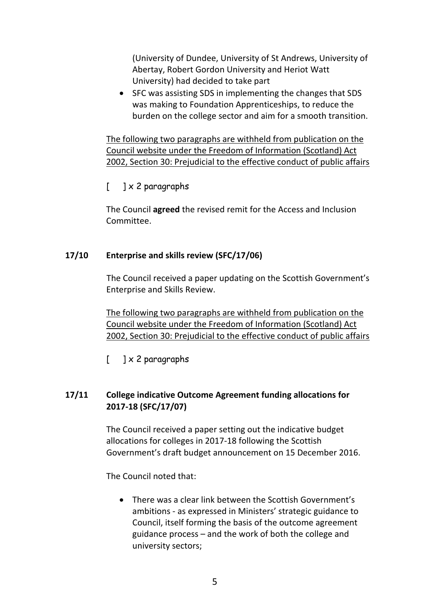(University of Dundee, University of St Andrews, University of Abertay, Robert Gordon University and Heriot Watt University) had decided to take part

• SFC was assisting SDS in implementing the changes that SDS was making to Foundation Apprenticeships, to reduce the burden on the college sector and aim for a smooth transition.

The following two paragraphs are withheld from publication on the Council website under the Freedom of Information (Scotland) Act 2002, Section 30: Prejudicial to the effective conduct of public affairs

# $\begin{bmatrix} 1 & x & 2 \end{bmatrix}$  paragraphs

The Council **agreed** the revised remit for the Access and Inclusion Committee.

## **17/10 Enterprise and skills review (SFC/17/06)**

The Council received a paper updating on the Scottish Government's Enterprise and Skills Review.

The following two paragraphs are withheld from publication on the Council website under the Freedom of Information (Scotland) Act 2002, Section 30: Prejudicial to the effective conduct of public affairs

 $[$  ]  $\times$  2 paragraphs

# **17/11 College indicative Outcome Agreement funding allocations for 2017-18 (SFC/17/07)**

The Council received a paper setting out the indicative budget allocations for colleges in 2017-18 following the Scottish Government's draft budget announcement on 15 December 2016.

The Council noted that:

• There was a clear link between the Scottish Government's ambitions - as expressed in Ministers' strategic guidance to Council, itself forming the basis of the outcome agreement guidance process – and the work of both the college and university sectors;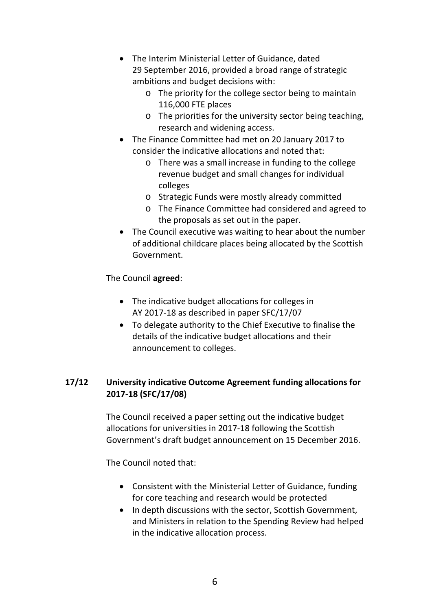- The Interim Ministerial Letter of Guidance, dated 29 September 2016, provided a broad range of strategic ambitions and budget decisions with:
	- o The priority for the college sector being to maintain 116,000 FTE places
	- o The priorities for the university sector being teaching, research and widening access.
- The Finance Committee had met on 20 January 2017 to consider the indicative allocations and noted that:
	- o There was a small increase in funding to the college revenue budget and small changes for individual colleges
	- o Strategic Funds were mostly already committed
	- o The Finance Committee had considered and agreed to the proposals as set out in the paper.
- The Council executive was waiting to hear about the number of additional childcare places being allocated by the Scottish Government.

## The Council **agreed**:

- The indicative budget allocations for colleges in AY 2017-18 as described in paper SFC/17/07
- To delegate authority to the Chief Executive to finalise the details of the indicative budget allocations and their announcement to colleges.

# **17/12 University indicative Outcome Agreement funding allocations for 2017-18 (SFC/17/08)**

The Council received a paper setting out the indicative budget allocations for universities in 2017-18 following the Scottish Government's draft budget announcement on 15 December 2016.

The Council noted that:

- Consistent with the Ministerial Letter of Guidance, funding for core teaching and research would be protected
- In depth discussions with the sector, Scottish Government, and Ministers in relation to the Spending Review had helped in the indicative allocation process.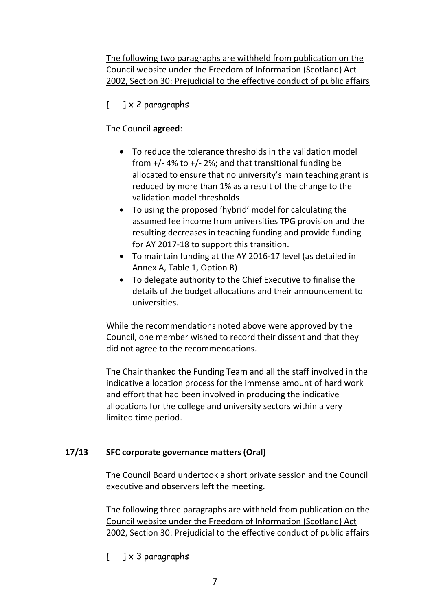The following two paragraphs are withheld from publication on the Council website under the Freedom of Information (Scotland) Act 2002, Section 30: Prejudicial to the effective conduct of public affairs

# $\begin{bmatrix} 1 \end{bmatrix} \times 2$  paragraphs

# The Council **agreed**:

- To reduce the tolerance thresholds in the validation model from  $+/-$  4% to  $+/-$  2%; and that transitional funding be allocated to ensure that no university's main teaching grant is reduced by more than 1% as a result of the change to the validation model thresholds
- To using the proposed 'hybrid' model for calculating the assumed fee income from universities TPG provision and the resulting decreases in teaching funding and provide funding for AY 2017-18 to support this transition.
- To maintain funding at the AY 2016-17 level (as detailed in Annex A, Table 1, Option B)
- To delegate authority to the Chief Executive to finalise the details of the budget allocations and their announcement to universities.

While the recommendations noted above were approved by the Council, one member wished to record their dissent and that they did not agree to the recommendations.

The Chair thanked the Funding Team and all the staff involved in the indicative allocation process for the immense amount of hard work and effort that had been involved in producing the indicative allocations for the college and university sectors within a very limited time period.

# **17/13 SFC corporate governance matters (Oral)**

The Council Board undertook a short private session and the Council executive and observers left the meeting.

The following three paragraphs are withheld from publication on the Council website under the Freedom of Information (Scotland) Act 2002, Section 30: Prejudicial to the effective conduct of public affairs

 $[$  ]  $\times$  3 paragraphs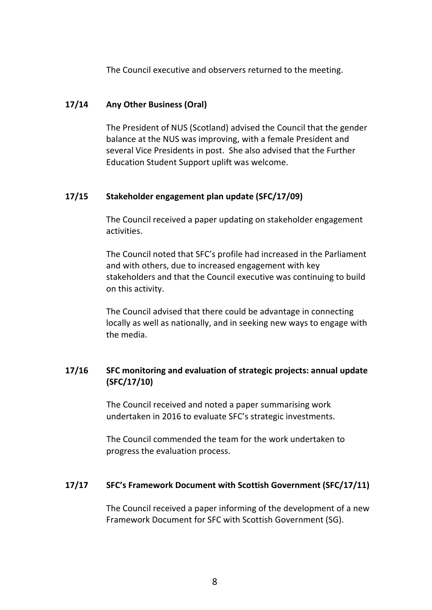The Council executive and observers returned to the meeting.

### **17/14 Any Other Business (Oral)**

The President of NUS (Scotland) advised the Council that the gender balance at the NUS was improving, with a female President and several Vice Presidents in post. She also advised that the Further Education Student Support uplift was welcome.

### **17/15 Stakeholder engagement plan update (SFC/17/09)**

The Council received a paper updating on stakeholder engagement activities.

The Council noted that SFC's profile had increased in the Parliament and with others, due to increased engagement with key stakeholders and that the Council executive was continuing to build on this activity.

The Council advised that there could be advantage in connecting locally as well as nationally, and in seeking new ways to engage with the media.

# **17/16 SFC monitoring and evaluation of strategic projects: annual update (SFC/17/10)**

The Council received and noted a paper summarising work undertaken in 2016 to evaluate SFC's strategic investments.

The Council commended the team for the work undertaken to progress the evaluation process.

### **17/17 SFC's Framework Document with Scottish Government (SFC/17/11)**

The Council received a paper informing of the development of a new Framework Document for SFC with Scottish Government (SG).